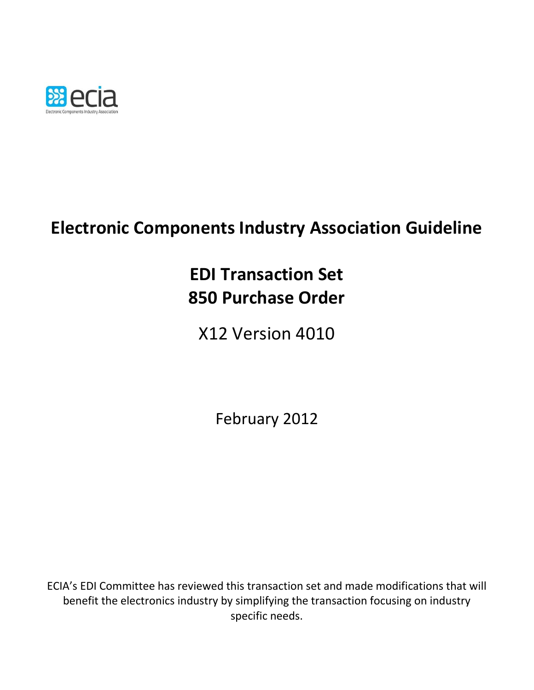

# **Electronic Components Industry Association Guideline**

# **EDI Transaction Set 850 Purchase Order**

X12 Version 4010

February 2012

ECIA's EDI Committee has reviewed this transaction set and made modifications that will benefit the electronics industry by simplifying the transaction focusing on industry specific needs.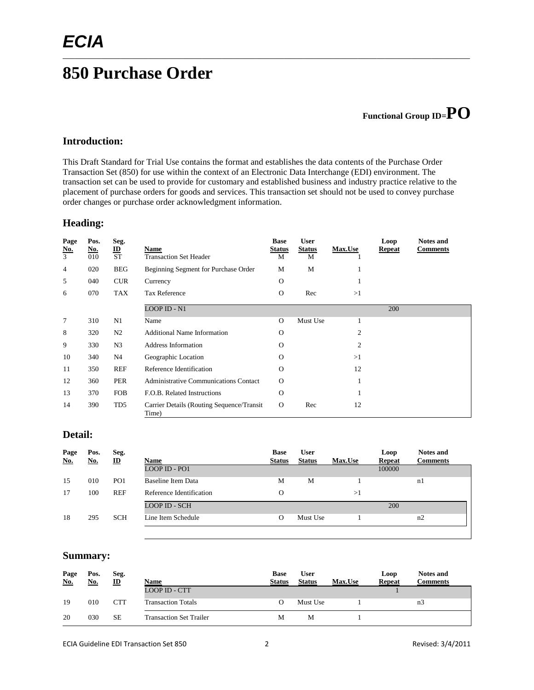# **850 Purchase Order**

# **Functional Group ID=PO**

#### **Introduction:**

This Draft Standard for Trial Use contains the format and establishes the data contents of the Purchase Order Transaction Set (850) for use within the context of an Electronic Data Interchange (EDI) environment. The transaction set can be used to provide for customary and established business and industry practice relative to the placement of purchase orders for goods and services. This transaction set should not be used to convey purchase order changes or purchase order acknowledgment information.

\_\_\_\_\_\_\_\_\_\_\_\_\_\_\_\_\_\_\_\_\_\_\_\_\_\_\_\_\_\_\_\_\_\_\_\_\_\_\_\_\_\_\_\_\_\_\_\_\_\_\_\_\_\_\_\_\_\_\_\_\_\_\_\_\_\_\_\_\_\_\_\_\_\_\_\_\_\_\_\_\_\_\_\_\_\_\_\_\_\_\_\_\_\_\_\_\_\_\_\_\_\_\_\_\_

#### **Heading:**

| Page<br><u>No.</u><br>$\overline{3}$ | Pos.<br><u>No.</u><br>010 | Seg.<br>$\underline{\mathbf{ID}}$<br><b>ST</b> | Name<br><b>Transaction Set Header</b>               | <b>Base</b><br><b>Status</b><br>M | <b>User</b><br><b>Status</b><br>M | Max.Use | Loop<br><b>Repeat</b> | <b>Notes and</b><br><b>Comments</b> |
|--------------------------------------|---------------------------|------------------------------------------------|-----------------------------------------------------|-----------------------------------|-----------------------------------|---------|-----------------------|-------------------------------------|
| 4                                    | 020                       | <b>BEG</b>                                     | Beginning Segment for Purchase Order                | М                                 | M                                 |         |                       |                                     |
| 5                                    | 040                       | <b>CUR</b>                                     | Currency                                            | O                                 |                                   |         |                       |                                     |
| 6                                    | 070                       | TAX                                            | <b>Tax Reference</b>                                | $\Omega$                          | Rec                               | >1      |                       |                                     |
|                                      |                           |                                                | LOOP ID - N1                                        |                                   |                                   |         | 200                   |                                     |
| $\tau$                               | 310                       | N1                                             | Name                                                | $\Omega$                          | Must Use                          |         |                       |                                     |
| 8                                    | 320                       | N2                                             | <b>Additional Name Information</b>                  | $\Omega$                          |                                   | 2       |                       |                                     |
| 9                                    | 330                       | N <sub>3</sub>                                 | <b>Address Information</b>                          | $\Omega$                          |                                   | 2       |                       |                                     |
| 10                                   | 340                       | N <sub>4</sub>                                 | Geographic Location                                 | $\Omega$                          |                                   | >1      |                       |                                     |
| 11                                   | 350                       | <b>REF</b>                                     | Reference Identification                            | $\Omega$                          |                                   | 12      |                       |                                     |
| 12                                   | 360                       | <b>PER</b>                                     | <b>Administrative Communications Contact</b>        | $\Omega$                          |                                   |         |                       |                                     |
| 13                                   | 370                       | <b>FOB</b>                                     | F.O.B. Related Instructions                         | $\Omega$                          |                                   |         |                       |                                     |
| 14                                   | 390                       | TD5                                            | Carrier Details (Routing Sequence/Transit)<br>Time) | $\Omega$                          | Rec                               | 12      |                       |                                     |

#### **Detail:**

| Page<br><b>No.</b> | Pos.<br>No. | Seg.<br>$\mathbf{D}$ | Name                     | <b>Base</b><br><b>Status</b> | <b>User</b><br><b>Status</b> | <b>Max.Use</b> | Loop<br><b>Repeat</b> | <b>Notes and</b><br><b>Comments</b> |
|--------------------|-------------|----------------------|--------------------------|------------------------------|------------------------------|----------------|-----------------------|-------------------------------------|
|                    |             |                      | LOOP ID - PO1            |                              |                              |                | 100000                |                                     |
| 15                 | 010         | PO <sub>1</sub>      | Baseline Item Data       | M                            | M                            |                |                       | n1                                  |
| 17                 | 100         | <b>REF</b>           | Reference Identification | $\Omega$                     |                              | >1             |                       |                                     |
|                    |             |                      | <b>LOOP ID - SCH</b>     |                              |                              |                | 200                   |                                     |
| 18                 | 295         | <b>SCH</b>           | Line Item Schedule       | $\Omega$                     | Must Use                     |                |                       | n2                                  |
|                    |             |                      |                          |                              |                              |                |                       |                                     |

#### **Summary:**

| Page<br>No. | Pos.<br><u>No.</u> | Seg.<br>$\mathbf{D}$ | Name                           | <b>Base</b><br><b>Status</b> | <b>User</b><br><b>Status</b> | <b>Max.Use</b> | Loop<br><b>Repeat</b> | <b>Notes and</b><br><b>Comments</b> |
|-------------|--------------------|----------------------|--------------------------------|------------------------------|------------------------------|----------------|-----------------------|-------------------------------------|
|             |                    |                      | <b>LOOP ID - CTT</b>           |                              |                              |                |                       |                                     |
| 19          | 010                | <b>CTT</b>           | <b>Transaction Totals</b>      |                              | Must Use                     |                |                       | n3                                  |
| 20          | 030                | <b>SE</b>            | <b>Transaction Set Trailer</b> | М                            | М                            |                |                       |                                     |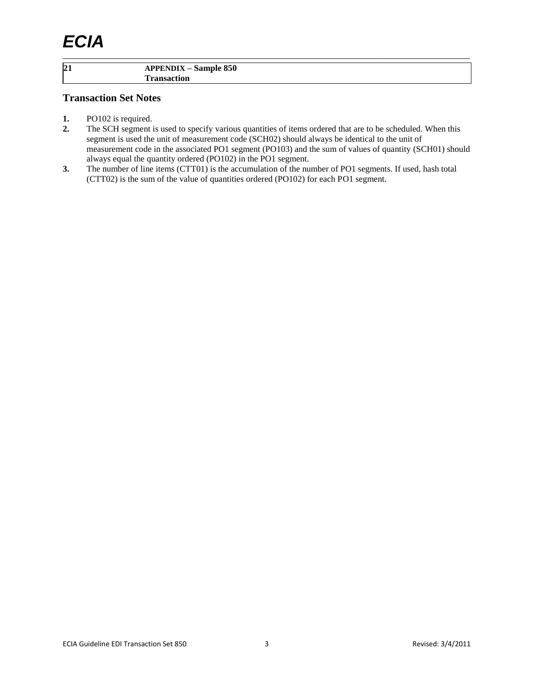#### **21 APPENDIX – Sample 850 Transaction**

#### **Transaction Set Notes**

- **1.** PO102 is required.
- **2.** The SCH segment is used to specify various quantities of items ordered that are to be scheduled. When this segment is used the unit of measurement code (SCH02) should always be identical to the unit of measurement code in the associated PO1 segment (PO103) and the sum of values of quantity (SCH01) should always equal the quantity ordered (PO102) in the PO1 segment.

\_\_\_\_\_\_\_\_\_\_\_\_\_\_\_\_\_\_\_\_\_\_\_\_\_\_\_\_\_\_\_\_\_\_\_\_\_\_\_\_\_\_\_\_\_\_\_\_\_\_\_\_\_\_\_\_\_\_\_\_\_\_\_\_\_\_\_\_\_\_\_\_\_\_\_\_\_\_\_\_\_\_\_\_\_\_\_\_\_\_\_\_\_\_\_\_\_\_\_\_\_\_\_\_\_

**3.** The number of line items (CTT01) is the accumulation of the number of PO1 segments. If used, hash total (CTT02) is the sum of the value of quantities ordered (PO102) for each PO1 segment.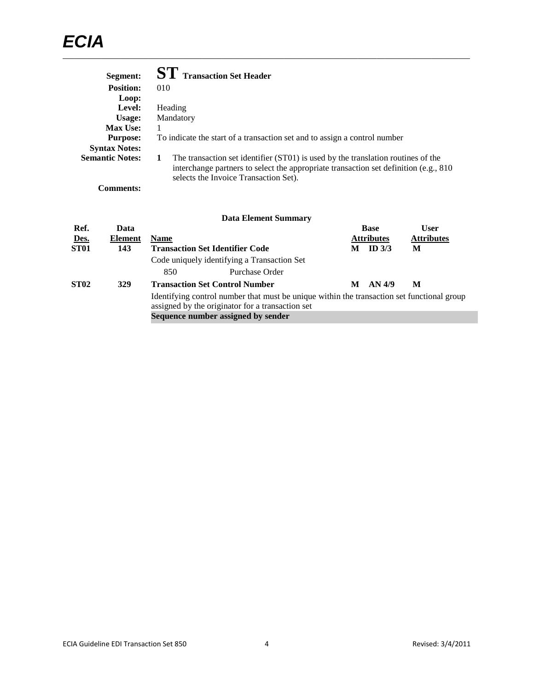| Segment:               | <b>ST</b> Transaction Set Header                                                                                                                                                                                   |
|------------------------|--------------------------------------------------------------------------------------------------------------------------------------------------------------------------------------------------------------------|
| <b>Position:</b>       | 010                                                                                                                                                                                                                |
| Loop:                  |                                                                                                                                                                                                                    |
| Level:                 | Heading                                                                                                                                                                                                            |
| Usage:                 | Mandatory                                                                                                                                                                                                          |
| <b>Max Use:</b>        |                                                                                                                                                                                                                    |
| <b>Purpose:</b>        | To indicate the start of a transaction set and to assign a control number                                                                                                                                          |
| <b>Syntax Notes:</b>   |                                                                                                                                                                                                                    |
| <b>Semantic Notes:</b> | The transaction set identifier (ST01) is used by the translation routines of the<br>interchange partners to select the appropriate transaction set definition (e.g., 810)<br>selects the Invoice Transaction Set). |

**Comments:**

#### **Data Element Summary Ref. Data Base User Des. Element Name Name Attributes Attributes Attributes Attributes Attributes Attributes Attributes M ID** 3/3 **ST01 143 Transaction Set Identifier Code M ID 3/3 M** Code uniquely identifying a Transaction Set 850 Purchase Order **ST02 329 Transaction Set Control Number M AN 4/9 M** Identifying control number that must be unique within the transaction set functional group assigned by the originator for a transaction set **Sequence number assigned by sender**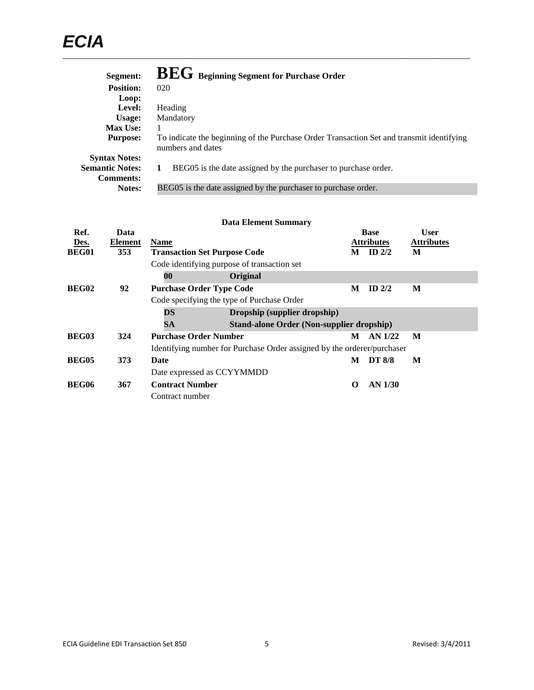| Segment:               | <b>BEG</b> Beginning Segment for Purchase Order                                                               |
|------------------------|---------------------------------------------------------------------------------------------------------------|
| <b>Position:</b>       | 020                                                                                                           |
| Loop:                  |                                                                                                               |
| Level:                 | Heading                                                                                                       |
| Usage:                 | Mandatory                                                                                                     |
| <b>Max Use:</b>        |                                                                                                               |
| <b>Purpose:</b>        | To indicate the beginning of the Purchase Order Transaction Set and transmit identifying<br>numbers and dates |
| <b>Syntax Notes:</b>   |                                                                                                               |
| <b>Semantic Notes:</b> | BEG05 is the date assigned by the purchaser to purchase order.                                                |
| <b>Comments:</b>       |                                                                                                               |
| Notes:                 | BEG05 is the date assigned by the purchaser to purchase order.                                                |

| Ref.         | Data    |                                     |                                                                         |   | <b>Base</b>       | <b>User</b>       |
|--------------|---------|-------------------------------------|-------------------------------------------------------------------------|---|-------------------|-------------------|
| Des.         | Element | <b>Name</b>                         |                                                                         |   | <b>Attributes</b> | <b>Attributes</b> |
| <b>BEG01</b> | 353     | <b>Transaction Set Purpose Code</b> |                                                                         | М | ID $2/2$          | M                 |
|              |         |                                     | Code identifying purpose of transaction set                             |   |                   |                   |
|              |         | 00                                  | Original                                                                |   |                   |                   |
| BEG02        | 92      | <b>Purchase Order Type Code</b>     |                                                                         | М | ID $2/2$          | M                 |
|              |         |                                     | Code specifying the type of Purchase Order                              |   |                   |                   |
|              |         | DS                                  | Dropship (supplier dropship)                                            |   |                   |                   |
|              |         | SA                                  | Stand-alone Order (Non-supplier dropship)                               |   |                   |                   |
| <b>BEG03</b> | 324     | <b>Purchase Order Number</b>        |                                                                         | М | AN 1/22           | M                 |
|              |         |                                     | Identifying number for Purchase Order assigned by the orderer/purchaser |   |                   |                   |
| <b>BEG05</b> | 373     | Date                                |                                                                         | М | <b>DT 8/8</b>     | M                 |
|              |         | Date expressed as CCYYMMDD          |                                                                         |   |                   |                   |
| <b>BEG06</b> | 367     | <b>Contract Number</b>              |                                                                         | O | <b>AN 1/30</b>    |                   |
|              |         | Contract number                     |                                                                         |   |                   |                   |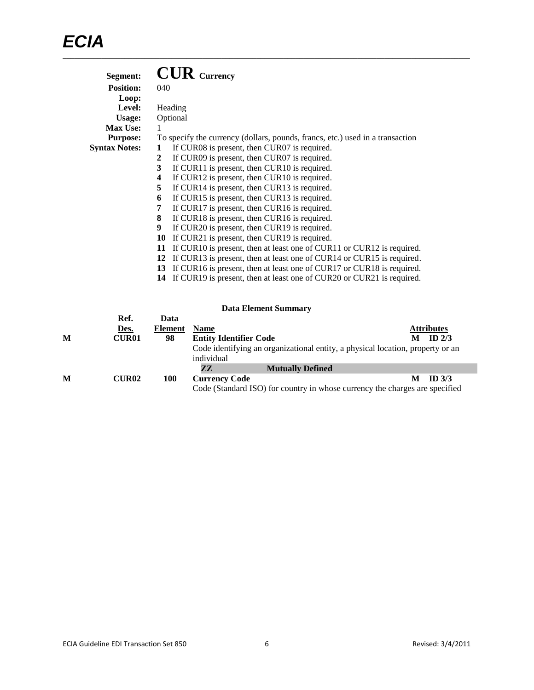| Segment:             | $\mathbf{CUR}$ Currency                                                       |
|----------------------|-------------------------------------------------------------------------------|
| <b>Position:</b>     | 040                                                                           |
| Loop:                |                                                                               |
| Level:               | Heading                                                                       |
| <b>Usage:</b>        | Optional                                                                      |
| <b>Max Use:</b>      |                                                                               |
| <b>Purpose:</b>      | To specify the currency (dollars, pounds, francs, etc.) used in a transaction |
| <b>Syntax Notes:</b> | If CUR08 is present, then CUR07 is required.<br>1                             |
|                      | If CUR09 is present, then CUR07 is required.<br>2                             |
|                      | If CUR11 is present, then CUR10 is required.<br>3                             |
|                      | If CUR12 is present, then CUR10 is required.<br>4                             |
|                      | 5<br>If CUR14 is present, then CUR13 is required.                             |
|                      | If CUR15 is present, then CUR13 is required.<br>6                             |
|                      | If CUR17 is present, then CUR16 is required.<br>7                             |
|                      | If CUR18 is present, then CUR16 is required.<br>8                             |
|                      | 9<br>If CUR20 is present, then CUR19 is required.                             |
|                      | If CUR21 is present, then CUR19 is required.<br>10                            |
|                      | If CUR10 is present, then at least one of CUR11 or CUR12 is required.<br>11   |
|                      | If CUR13 is present, then at least one of CUR14 or CUR15 is required.<br>12   |
|                      | If CUR16 is present, then at least one of CUR17 or CUR18 is required.<br>13   |
|                      | If CUR19 is present, then at least one of CUR20 or CUR21 is required.<br>14   |

|   |              |                |                               | Duva Envincin Duminia -                                                        |   |                   |
|---|--------------|----------------|-------------------------------|--------------------------------------------------------------------------------|---|-------------------|
|   | Ref.         | Data           |                               |                                                                                |   |                   |
|   | Des.         | <b>Element</b> | <b>Name</b>                   |                                                                                |   | <b>Attributes</b> |
| M | <b>CUR01</b> | 98             | <b>Entity Identifier Code</b> |                                                                                | М | $ID$ 2/3          |
|   |              |                | individual                    | Code identifying an organizational entity, a physical location, property or an |   |                   |
|   |              |                | 77                            | <b>Mutually Defined</b>                                                        |   |                   |
| M | <b>CUR02</b> | 100            | <b>Currency Code</b>          |                                                                                |   | ID $3/3$          |
|   |              |                |                               | Code (Standard ISO) for country in whose currency the charges are specified    |   |                   |

 $\mathcal{L}_{\mathcal{A}}$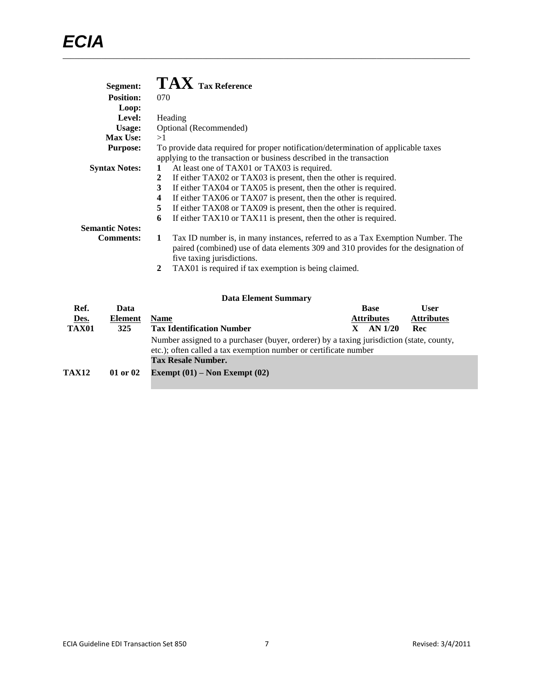| <b>Segment:</b>        | $\mathbf{TAX}$ Tax Reference                                                         |
|------------------------|--------------------------------------------------------------------------------------|
| <b>Position:</b>       | 070                                                                                  |
| Loop:                  |                                                                                      |
| Level:                 | Heading                                                                              |
| Usage:                 | Optional (Recommended)                                                               |
| <b>Max Use:</b>        | >1                                                                                   |
| <b>Purpose:</b>        | To provide data required for proper notification/determination of applicable taxes   |
|                        | applying to the transaction or business described in the transaction                 |
| <b>Syntax Notes:</b>   | At least one of TAX01 or TAX03 is required.                                          |
|                        | 2<br>If either TAX02 or TAX03 is present, then the other is required.                |
|                        | 3<br>If either TAX04 or TAX05 is present, then the other is required.                |
|                        | If either TAX06 or TAX07 is present, then the other is required.<br>4                |
|                        | If either TAX08 or TAX09 is present, then the other is required.<br>5                |
|                        | If either TAX10 or TAX11 is present, then the other is required.<br>6                |
| <b>Semantic Notes:</b> |                                                                                      |
| <b>Comments:</b>       | Tax ID number is, in many instances, referred to as a Tax Exemption Number. The<br>1 |
|                        | paired (combined) use of data elements 309 and 310 provides for the designation of   |
|                        | five taxing jurisdictions.                                                           |
|                        | TAX01 is required if tax exemption is being claimed.<br>2                            |

|              |                | <b>Data Element Summary</b>                                                              |                |             |                   |
|--------------|----------------|------------------------------------------------------------------------------------------|----------------|-------------|-------------------|
| Ref.         | Data           |                                                                                          |                | <b>Base</b> | <b>User</b>       |
| Des.         | <b>Element</b> | <b>Attributes</b><br><b>Name</b>                                                         |                |             | <b>Attributes</b> |
| TAX01        | <b>325</b>     | <b>Tax Identification Number</b>                                                         | AN 1/20<br>Rec |             |                   |
|              |                | Number assigned to a purchaser (buyer, orderer) by a taxing jurisdiction (state, county, |                |             |                   |
|              |                | etc.); often called a tax exemption number or certificate number                         |                |             |                   |
|              |                | <b>Tax Resale Number.</b>                                                                |                |             |                   |
| <b>TAX12</b> | 01 or 02       | Exempt $(01)$ – Non Exempt $(02)$                                                        |                |             |                   |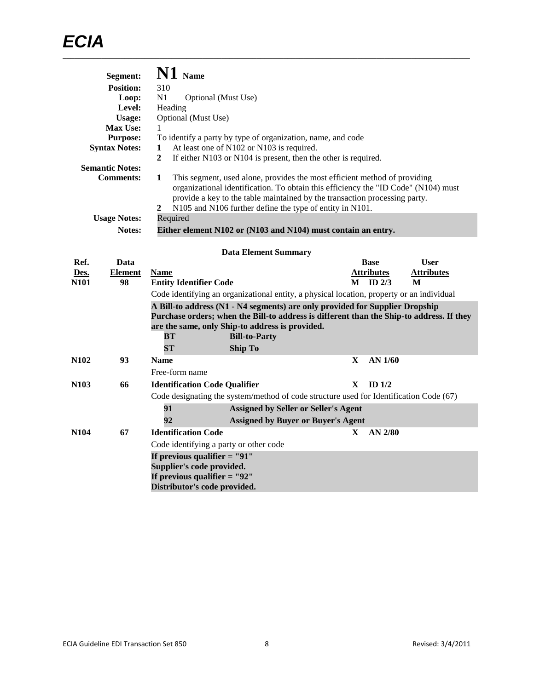|             | Segment:               |                                                                                                                                                                                                                                                                                                                                  | N1 Name                                                                                                                       |                             |                                                                                                                                 |   |                   |                                                                                          |
|-------------|------------------------|----------------------------------------------------------------------------------------------------------------------------------------------------------------------------------------------------------------------------------------------------------------------------------------------------------------------------------|-------------------------------------------------------------------------------------------------------------------------------|-----------------------------|---------------------------------------------------------------------------------------------------------------------------------|---|-------------------|------------------------------------------------------------------------------------------|
|             | <b>Position:</b>       | 310                                                                                                                                                                                                                                                                                                                              |                                                                                                                               |                             |                                                                                                                                 |   |                   |                                                                                          |
|             | Loop:                  | N1<br>Optional (Must Use)                                                                                                                                                                                                                                                                                                        |                                                                                                                               |                             |                                                                                                                                 |   |                   |                                                                                          |
|             | Level:                 | Heading                                                                                                                                                                                                                                                                                                                          |                                                                                                                               |                             |                                                                                                                                 |   |                   |                                                                                          |
|             | <b>Usage:</b>          |                                                                                                                                                                                                                                                                                                                                  | Optional (Must Use)                                                                                                           |                             |                                                                                                                                 |   |                   |                                                                                          |
|             | Max Use:               | 1                                                                                                                                                                                                                                                                                                                                |                                                                                                                               |                             |                                                                                                                                 |   |                   |                                                                                          |
|             | <b>Purpose:</b>        |                                                                                                                                                                                                                                                                                                                                  |                                                                                                                               |                             | To identify a party by type of organization, name, and code                                                                     |   |                   |                                                                                          |
|             | <b>Syntax Notes:</b>   | 1<br>$\mathbf{2}$                                                                                                                                                                                                                                                                                                                | At least one of N102 or N103 is required.                                                                                     |                             | If either N103 or N104 is present, then the other is required.                                                                  |   |                   |                                                                                          |
|             | <b>Semantic Notes:</b> |                                                                                                                                                                                                                                                                                                                                  |                                                                                                                               |                             |                                                                                                                                 |   |                   |                                                                                          |
|             | <b>Comments:</b>       | 1<br>This segment, used alone, provides the most efficient method of providing<br>organizational identification. To obtain this efficiency the "ID Code" (N104) must<br>provide a key to the table maintained by the transaction processing party.<br>$\overline{2}$<br>N105 and N106 further define the type of entity in N101. |                                                                                                                               |                             |                                                                                                                                 |   |                   |                                                                                          |
|             | <b>Usage Notes:</b>    | Required                                                                                                                                                                                                                                                                                                                         |                                                                                                                               |                             |                                                                                                                                 |   |                   |                                                                                          |
|             | <b>Notes:</b>          |                                                                                                                                                                                                                                                                                                                                  |                                                                                                                               |                             | Either element N102 or (N103 and N104) must contain an entry.                                                                   |   |                   |                                                                                          |
|             |                        |                                                                                                                                                                                                                                                                                                                                  |                                                                                                                               |                             |                                                                                                                                 |   |                   |                                                                                          |
| Ref.        | Data                   |                                                                                                                                                                                                                                                                                                                                  |                                                                                                                               | <b>Data Element Summary</b> |                                                                                                                                 |   | <b>Base</b>       | <b>User</b>                                                                              |
| Des.        | <b>Element</b>         | <b>Name</b>                                                                                                                                                                                                                                                                                                                      |                                                                                                                               |                             |                                                                                                                                 |   | <b>Attributes</b> | <b>Attributes</b>                                                                        |
| N101        | 98                     |                                                                                                                                                                                                                                                                                                                                  | <b>Entity Identifier Code</b>                                                                                                 |                             |                                                                                                                                 | M | ID <sub>2/3</sub> | M                                                                                        |
|             |                        |                                                                                                                                                                                                                                                                                                                                  |                                                                                                                               |                             | Code identifying an organizational entity, a physical location, property or an individual                                       |   |                   |                                                                                          |
|             |                        | BТ                                                                                                                                                                                                                                                                                                                               |                                                                                                                               | <b>Bill-to-Party</b>        | A Bill-to address (N1 - N4 segments) are only provided for Supplier Dropship<br>are the same, only Ship-to address is provided. |   |                   | Purchase orders; when the Bill-to address is different than the Ship-to address. If they |
|             |                        | ST                                                                                                                                                                                                                                                                                                                               |                                                                                                                               | <b>Ship To</b>              |                                                                                                                                 |   |                   |                                                                                          |
| N102        | 93                     | <b>Name</b>                                                                                                                                                                                                                                                                                                                      | Free-form name                                                                                                                |                             |                                                                                                                                 | X | AN 1/60           |                                                                                          |
| <b>N103</b> | 66                     |                                                                                                                                                                                                                                                                                                                                  |                                                                                                                               |                             |                                                                                                                                 | X | ID <sub>1/2</sub> |                                                                                          |
|             |                        |                                                                                                                                                                                                                                                                                                                                  | <b>Identification Code Qualifier</b>                                                                                          |                             |                                                                                                                                 |   |                   |                                                                                          |
|             |                        |                                                                                                                                                                                                                                                                                                                                  |                                                                                                                               |                             |                                                                                                                                 |   |                   | Code designating the system/method of code structure used for Identification Code (67)   |
|             |                        | 91                                                                                                                                                                                                                                                                                                                               |                                                                                                                               |                             | <b>Assigned by Seller or Seller's Agent</b>                                                                                     |   |                   |                                                                                          |
|             |                        | 92                                                                                                                                                                                                                                                                                                                               |                                                                                                                               |                             | <b>Assigned by Buyer or Buyer's Agent</b>                                                                                       |   |                   |                                                                                          |
| N104        | 67                     |                                                                                                                                                                                                                                                                                                                                  | <b>Identification Code</b>                                                                                                    |                             |                                                                                                                                 | X | $AN$ 2/80         |                                                                                          |
|             |                        |                                                                                                                                                                                                                                                                                                                                  | Code identifying a party or other code                                                                                        |                             |                                                                                                                                 |   |                   |                                                                                          |
|             |                        |                                                                                                                                                                                                                                                                                                                                  | If previous qualifier $=$ "91"<br>Supplier's code provided.<br>If previous qualifier $=$ "92"<br>Distributor's code provided. |                             |                                                                                                                                 |   |                   |                                                                                          |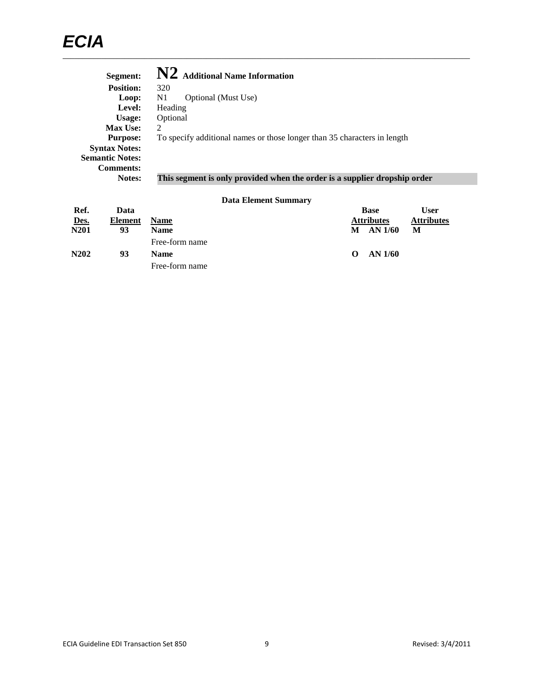| Segment:               | N2 Additional Name Information                                            |
|------------------------|---------------------------------------------------------------------------|
| <b>Position:</b>       | 320                                                                       |
| Loop:                  | Optional (Must Use)<br>N1                                                 |
| Level:                 | Heading                                                                   |
| Usage:                 | Optional                                                                  |
| <b>Max Use:</b>        | 2                                                                         |
| <b>Purpose:</b>        | To specify additional names or those longer than 35 characters in length  |
| <b>Syntax Notes:</b>   |                                                                           |
| <b>Semantic Notes:</b> |                                                                           |
| <b>Comments:</b>       |                                                                           |
| <b>Notes:</b>          | This segment is only provided when the order is a supplier dropship order |

| Ref.                          | Data    |                |          | <b>Base</b>       | <b>User</b>       |
|-------------------------------|---------|----------------|----------|-------------------|-------------------|
| Des.                          | Element | <b>Name</b>    |          | <b>Attributes</b> | <b>Attributes</b> |
| N201                          | 93      | <b>Name</b>    | М        | AN 1/60           | М                 |
|                               |         | Free-form name |          |                   |                   |
| N <sub>2</sub> 0 <sub>2</sub> | 93      | <b>Name</b>    | $\Omega$ | AN $1/60$         |                   |
|                               |         | Free-form name |          |                   |                   |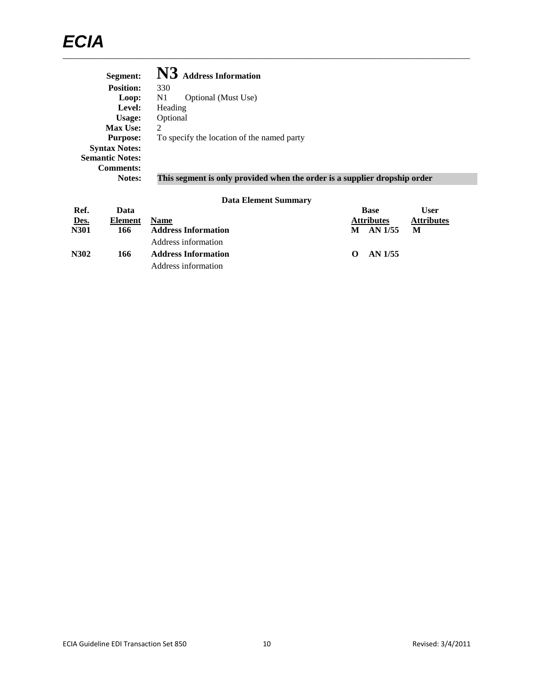| Segment:               | <b>Address Information</b>                                                |
|------------------------|---------------------------------------------------------------------------|
| <b>Position:</b>       | 330                                                                       |
| Loop:                  | N1<br>Optional (Must Use)                                                 |
| Level:                 | Heading                                                                   |
| Usage:                 | Optional                                                                  |
| <b>Max Use:</b>        | 2                                                                         |
| <b>Purpose:</b>        | To specify the location of the named party                                |
| <b>Syntax Notes:</b>   |                                                                           |
| <b>Semantic Notes:</b> |                                                                           |
| <b>Comments:</b>       |                                                                           |
| <b>Notes:</b>          | This segment is only provided when the order is a supplier dropship order |

| Ref.        | Data    |                            |          | <b>Base</b>       | User              |
|-------------|---------|----------------------------|----------|-------------------|-------------------|
| Des.        | Element | <b>Name</b>                |          | <b>Attributes</b> | <b>Attributes</b> |
| <b>N301</b> | 166     | <b>Address Information</b> | М        | AN 1/55           | M                 |
|             |         | Address information        |          |                   |                   |
| N302        | 166     | <b>Address Information</b> | $\Omega$ | AN 1/55           |                   |
|             |         | Address information        |          |                   |                   |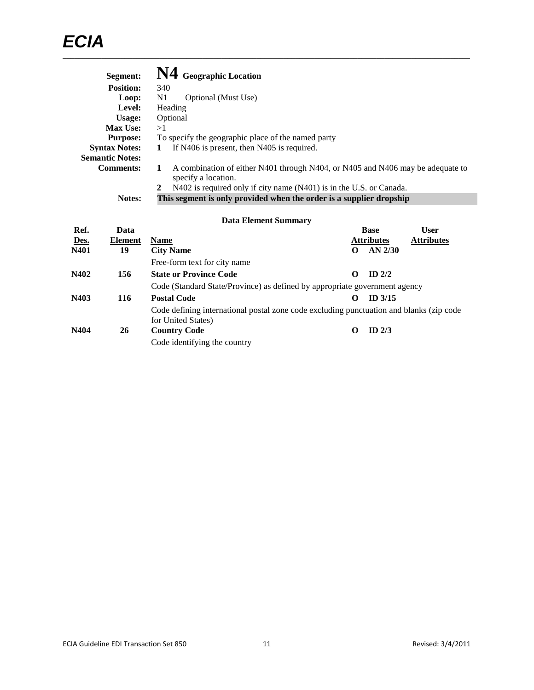| Segment:               | N4 Geographic Location                                                                                                |
|------------------------|-----------------------------------------------------------------------------------------------------------------------|
| <b>Position:</b>       | 340                                                                                                                   |
| Loop:                  | N1<br>Optional (Must Use)                                                                                             |
| Level:                 | Heading                                                                                                               |
| Usage:                 | Optional                                                                                                              |
| <b>Max Use:</b>        | >1                                                                                                                    |
| <b>Purpose:</b>        | To specify the geographic place of the named party                                                                    |
| <b>Syntax Notes:</b>   | If N406 is present, then N405 is required.<br>1                                                                       |
| <b>Semantic Notes:</b> |                                                                                                                       |
| <b>Comments:</b>       | A combination of either N401 through N404, or N405 and N406 may be adequate to<br>$\mathbf{1}$<br>specify a location. |
|                        | N402 is required only if city name (N401) is in the U.S. or Canada.<br>2                                              |
| Notes:                 | This segment is only provided when the order is a supplier dropship                                                   |

| Ref. | Data           |                                                                                                               |         | <b>Base</b>       | <b>User</b>       |
|------|----------------|---------------------------------------------------------------------------------------------------------------|---------|-------------------|-------------------|
| Des. | <b>Element</b> | <b>Name</b>                                                                                                   |         | <b>Attributes</b> | <b>Attributes</b> |
| N401 | 19             | <b>City Name</b>                                                                                              | $\bf o$ | $AN$ 2/30         |                   |
|      |                | Free-form text for city name                                                                                  |         |                   |                   |
| N402 | 156            | <b>State or Province Code</b>                                                                                 | O       | ID $2/2$          |                   |
|      |                | Code (Standard State/Province) as defined by appropriate government agency                                    |         |                   |                   |
| N403 | 116            | <b>Postal Code</b>                                                                                            |         | $ID$ 3/15         |                   |
|      |                | Code defining international postal zone code excluding punctuation and blanks (zip code<br>for United States) |         |                   |                   |
| N404 | 26             | <b>Country Code</b>                                                                                           | O       | ID $2/3$          |                   |
|      |                | Code identifying the country                                                                                  |         |                   |                   |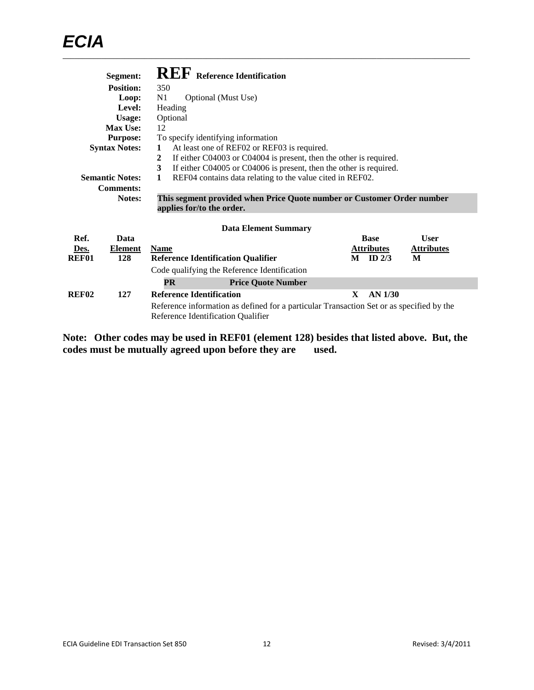|       | Segment:               |                                                                |                           | <b>REF</b> Reference Identification          |                                                                        |  |   |                   |                                                                                          |  |
|-------|------------------------|----------------------------------------------------------------|---------------------------|----------------------------------------------|------------------------------------------------------------------------|--|---|-------------------|------------------------------------------------------------------------------------------|--|
|       | <b>Position:</b>       | 350                                                            |                           |                                              |                                                                        |  |   |                   |                                                                                          |  |
|       | Loop:                  | N <sub>1</sub>                                                 |                           | Optional (Must Use)                          |                                                                        |  |   |                   |                                                                                          |  |
|       | Level:                 | Heading                                                        |                           |                                              |                                                                        |  |   |                   |                                                                                          |  |
|       | Usage:                 | Optional                                                       |                           |                                              |                                                                        |  |   |                   |                                                                                          |  |
|       | Max Use:               | 12                                                             |                           |                                              |                                                                        |  |   |                   |                                                                                          |  |
|       | <b>Purpose:</b>        |                                                                |                           | To specify identifying information           |                                                                        |  |   |                   |                                                                                          |  |
|       | <b>Syntax Notes:</b>   | 1                                                              |                           |                                              | At least one of REF02 or REF03 is required.                            |  |   |                   |                                                                                          |  |
|       |                        | 2                                                              |                           |                                              | If either C04003 or C04004 is present, then the other is required.     |  |   |                   |                                                                                          |  |
|       |                        | 3                                                              |                           |                                              | If either C04005 or C04006 is present, then the other is required.     |  |   |                   |                                                                                          |  |
|       | <b>Semantic Notes:</b> | 1<br>REF04 contains data relating to the value cited in REF02. |                           |                                              |                                                                        |  |   |                   |                                                                                          |  |
|       | <b>Comments:</b>       |                                                                |                           |                                              |                                                                        |  |   |                   |                                                                                          |  |
|       | Notes:                 |                                                                |                           |                                              | This segment provided when Price Quote number or Customer Order number |  |   |                   |                                                                                          |  |
|       |                        |                                                                | applies for/to the order. |                                              |                                                                        |  |   |                   |                                                                                          |  |
|       |                        |                                                                |                           |                                              | <b>Data Element Summary</b>                                            |  |   |                   |                                                                                          |  |
| Ref.  | Data                   |                                                                |                           |                                              |                                                                        |  |   | <b>Base</b>       | <b>User</b>                                                                              |  |
| Des.  | Element                | <b>Name</b>                                                    |                           |                                              |                                                                        |  |   | <b>Attributes</b> | <b>Attributes</b>                                                                        |  |
| REF01 | 128                    |                                                                |                           | <b>Reference Identification Qualifier</b>    |                                                                        |  | M | ID $2/3$          | M                                                                                        |  |
|       |                        |                                                                |                           | Code qualifying the Reference Identification |                                                                        |  |   |                   |                                                                                          |  |
|       |                        | <b>PR</b>                                                      |                           |                                              | <b>Price Quote Number</b>                                              |  |   |                   |                                                                                          |  |
| REF02 | 127                    | <b>Reference Identification</b>                                |                           |                                              |                                                                        |  | X | <b>AN 1/30</b>    |                                                                                          |  |
|       |                        |                                                                |                           | Reference Identification Qualifier           |                                                                        |  |   |                   | Reference information as defined for a particular Transaction Set or as specified by the |  |

**Note: Other codes may be used in REF01 (element 128) besides that listed above. But, the codes must be mutually agreed upon before they are used.**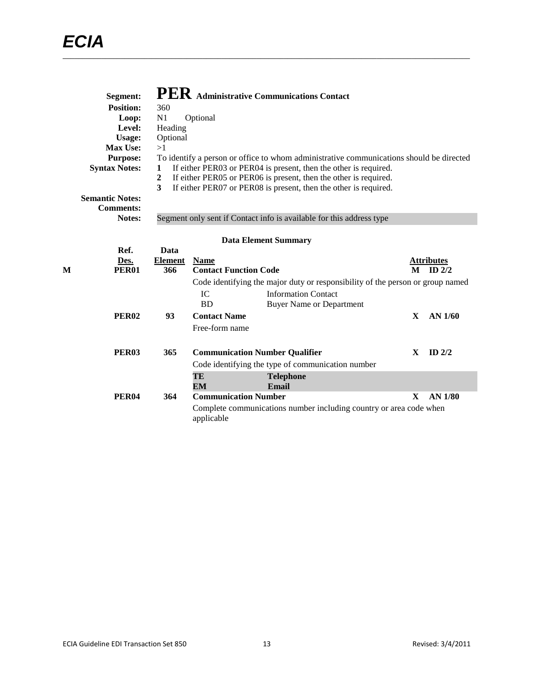|   | Segment:               |                  |                              | PER Administrative Communications Contact                                               |              |                   |
|---|------------------------|------------------|------------------------------|-----------------------------------------------------------------------------------------|--------------|-------------------|
|   | <b>Position:</b>       | 360              |                              |                                                                                         |              |                   |
|   | Loop:                  | N1               | Optional                     |                                                                                         |              |                   |
|   | Level:                 | Heading          |                              |                                                                                         |              |                   |
|   | <b>Usage:</b>          | Optional         |                              |                                                                                         |              |                   |
|   | <b>Max Use:</b>        | >1               |                              |                                                                                         |              |                   |
|   | <b>Purpose:</b>        |                  |                              | To identify a person or office to whom administrative communications should be directed |              |                   |
|   | <b>Syntax Notes:</b>   | 1                |                              | If either PER03 or PER04 is present, then the other is required.                        |              |                   |
|   |                        | $\boldsymbol{2}$ |                              | If either PER05 or PER06 is present, then the other is required.                        |              |                   |
|   |                        | 3                |                              | If either PER07 or PER08 is present, then the other is required.                        |              |                   |
|   | <b>Semantic Notes:</b> |                  |                              |                                                                                         |              |                   |
|   | <b>Comments:</b>       |                  |                              |                                                                                         |              |                   |
|   | Notes:                 |                  |                              | Segment only sent if Contact info is available for this address type                    |              |                   |
|   |                        |                  |                              |                                                                                         |              |                   |
|   |                        |                  |                              | <b>Data Element Summary</b>                                                             |              |                   |
|   | Ref.                   | Data             |                              |                                                                                         |              |                   |
|   | Des.                   | <b>Element</b>   | <b>Name</b>                  |                                                                                         |              | <b>Attributes</b> |
| M | <b>PER01</b>           | 366              | <b>Contact Function Code</b> |                                                                                         | M            | $ID$ 2/2          |
|   |                        |                  |                              | Code identifying the major duty or responsibility of the person or group named          |              |                   |
|   |                        |                  | IC                           | <b>Information Contact</b>                                                              |              |                   |
|   |                        |                  | <b>BD</b>                    | <b>Buyer Name or Department</b>                                                         |              |                   |
|   | <b>PER02</b>           | 93               | <b>Contact Name</b>          |                                                                                         | $\mathbf{X}$ | AN 1/60           |
|   |                        |                  | Free-form name               |                                                                                         |              |                   |
|   |                        |                  |                              |                                                                                         |              |                   |
|   | <b>PER03</b>           | 365              |                              | <b>Communication Number Qualifier</b>                                                   | $\mathbf{X}$ | ID $2/2$          |
|   |                        |                  |                              | Code identifying the type of communication number                                       |              |                   |
|   |                        |                  | TE                           | <b>Telephone</b>                                                                        |              |                   |
|   |                        |                  | EM                           | Email                                                                                   |              |                   |
|   | <b>PER04</b>           | 364              | <b>Communication Number</b>  |                                                                                         | $\mathbf{x}$ | <b>AN 1/80</b>    |
|   |                        |                  | applicable                   | Complete communications number including country or area code when                      |              |                   |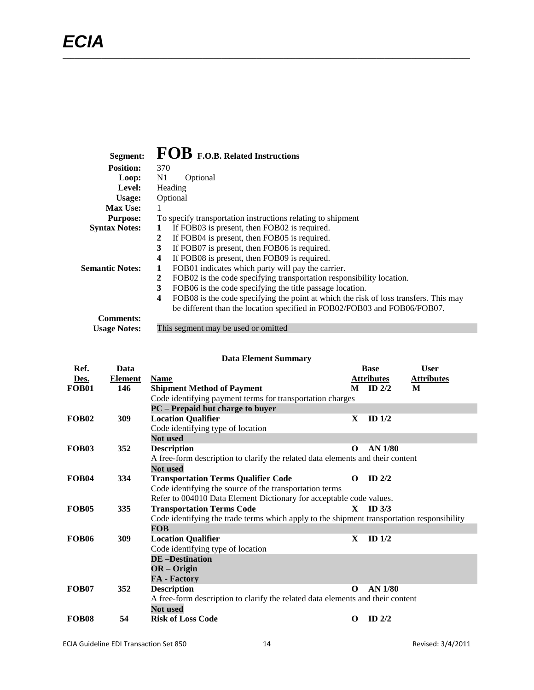| Segment:               | FOB F.O.B. Related Instructions                                                           |
|------------------------|-------------------------------------------------------------------------------------------|
| <b>Position:</b>       | 370                                                                                       |
| Loop:                  | N1<br>Optional                                                                            |
| Level:                 | Heading                                                                                   |
| Usage:                 | Optional                                                                                  |
| Max Use:               |                                                                                           |
| <b>Purpose:</b>        | To specify transportation instructions relating to shipment                               |
| <b>Syntax Notes:</b>   | If FOB03 is present, then FOB02 is required.<br>1                                         |
|                        | If FOB04 is present, then FOB05 is required.<br>2                                         |
|                        | 3<br>If FOB07 is present, then FOB06 is required.                                         |
|                        | If FOB08 is present, then FOB09 is required.<br>4                                         |
| <b>Semantic Notes:</b> | FOB01 indicates which party will pay the carrier.<br>1                                    |
|                        | 2<br>FOB02 is the code specifying transportation responsibility location.                 |
|                        | 3<br>FOB06 is the code specifying the title passage location.                             |
|                        | FOB08 is the code specifying the point at which the risk of loss transfers. This may<br>4 |
|                        | be different than the location specified in FOB02/FOB03 and FOB06/FOB07.                  |
| <b>Comments:</b>       |                                                                                           |
| <b>Usage Notes:</b>    | This segment may be used or omitted                                                       |

|                   | <b>Data Element Summary</b> |                                                                                            |                   |                   |   |  |
|-------------------|-----------------------------|--------------------------------------------------------------------------------------------|-------------------|-------------------|---|--|
| Ref.              | Data                        |                                                                                            | <b>Base</b>       | <b>User</b>       |   |  |
| Des.              | <b>Element</b>              | <b>Name</b>                                                                                | <b>Attributes</b> | <b>Attributes</b> |   |  |
| <b>FOB01</b>      | 146                         | <b>Shipment Method of Payment</b>                                                          | M                 | $ID$ 2/2          | M |  |
|                   |                             | Code identifying payment terms for transportation charges                                  |                   |                   |   |  |
|                   |                             | PC – Prepaid but charge to buyer                                                           |                   |                   |   |  |
| <b>FOB02</b>      | 309                         | <b>Location Qualifier</b>                                                                  | X                 | ID $1/2$          |   |  |
|                   |                             | Code identifying type of location                                                          |                   |                   |   |  |
|                   |                             | <b>Not used</b>                                                                            |                   |                   |   |  |
| <b>FOB03</b>      | 352                         | <b>Description</b>                                                                         | $\Omega$          | AN 1/80           |   |  |
|                   |                             | A free-form description to clarify the related data elements and their content             |                   |                   |   |  |
|                   |                             | <b>Not</b> used                                                                            |                   |                   |   |  |
| <b>FOB04</b>      | 334                         | <b>Transportation Terms Qualifier Code</b>                                                 | $\Omega$          | $ID$ 2/2          |   |  |
|                   |                             | Code identifying the source of the transportation terms                                    |                   |                   |   |  |
|                   |                             | Refer to 004010 Data Element Dictionary for acceptable code values.                        |                   |                   |   |  |
| FOB <sub>05</sub> | 335                         | <b>Transportation Terms Code</b>                                                           | $\mathbf{X}$      | ID <sub>3/3</sub> |   |  |
|                   |                             | Code identifying the trade terms which apply to the shipment transportation responsibility |                   |                   |   |  |
|                   |                             | <b>FOB</b>                                                                                 |                   |                   |   |  |
| <b>FOB06</b>      | 309                         | <b>Location Qualifier</b>                                                                  | $\mathbf{x}$      | ID <sub>1/2</sub> |   |  |
|                   |                             | Code identifying type of location                                                          |                   |                   |   |  |
|                   |                             | <b>DE-Destination</b>                                                                      |                   |                   |   |  |
|                   |                             | $OR - Origin$                                                                              |                   |                   |   |  |
|                   |                             | <b>FA</b> - Factory                                                                        |                   |                   |   |  |
| <b>FOB07</b>      | 352                         | <b>Description</b>                                                                         | $\Omega$          | AN 1/80           |   |  |
|                   |                             | A free-form description to clarify the related data elements and their content             |                   |                   |   |  |
|                   |                             | <b>Not</b> used                                                                            |                   |                   |   |  |
| <b>FOB08</b>      | 54                          | <b>Risk of Loss Code</b>                                                                   | O                 | ID $2/2$          |   |  |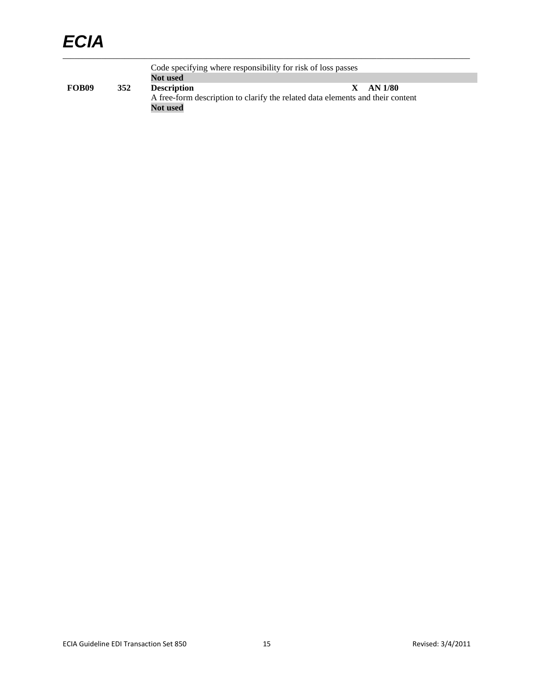# *ECIA*

Code specifying where responsibility for risk of loss passes **Not used**<br>**Description FOB09 352 Description X AN 1/80** A free-form description to clarify the related data elements and their content **Not used**

\_\_\_\_\_\_\_\_\_\_\_\_\_\_\_\_\_\_\_\_\_\_\_\_\_\_\_\_\_\_\_\_\_\_\_\_\_\_\_\_\_\_\_\_\_\_\_\_\_\_\_\_\_\_\_\_\_\_\_\_\_\_\_\_\_\_\_\_\_\_\_\_\_\_\_\_\_\_\_\_\_\_\_\_\_\_\_\_\_\_\_\_\_\_\_\_\_\_\_\_\_\_\_\_\_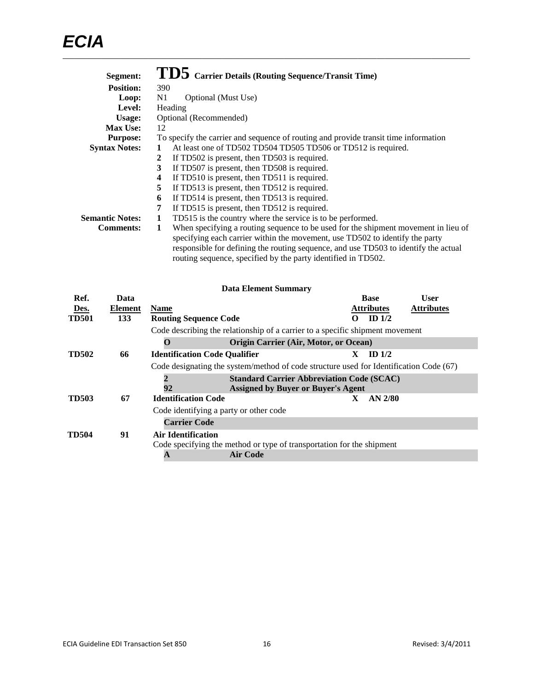| Segment:               | TD5 Carrier Details (Routing Sequence/Transit Time)                                     |
|------------------------|-----------------------------------------------------------------------------------------|
| <b>Position:</b>       | 390                                                                                     |
| Loop:                  | Optional (Must Use)<br>N1                                                               |
| Level:                 | Heading                                                                                 |
| Usage:                 | Optional (Recommended)                                                                  |
| <b>Max Use:</b>        | 12                                                                                      |
| <b>Purpose:</b>        | To specify the carrier and sequence of routing and provide transit time information     |
| <b>Syntax Notes:</b>   | At least one of TD502 TD504 TD505 TD506 or TD512 is required.                           |
|                        | If TD502 is present, then TD503 is required.<br>2                                       |
|                        | If TD507 is present, then TD508 is required.<br>3                                       |
|                        | If TD510 is present, then TD511 is required.<br>4                                       |
|                        | 5<br>If TD513 is present, then TD512 is required.                                       |
|                        | If TD514 is present, then TD513 is required.<br>6                                       |
|                        | If TD515 is present, then TD512 is required.<br>7                                       |
| <b>Semantic Notes:</b> | TD515 is the country where the service is to be performed.<br>1                         |
| <b>Comments:</b>       | When specifying a routing sequence to be used for the shipment movement in lieu of<br>1 |
|                        | specifying each carrier within the movement, use TD502 to identify the party            |
|                        | responsible for defining the routing sequence, and use TD503 to identify the actual     |
|                        | routing sequence, specified by the party identified in TD502.                           |

|              | <b>Data Element Summary</b> |                                        |                                                                                               |          |                   |                   |
|--------------|-----------------------------|----------------------------------------|-----------------------------------------------------------------------------------------------|----------|-------------------|-------------------|
| Ref.         | Data                        |                                        |                                                                                               |          | <b>Base</b>       | <b>User</b>       |
| Des.         | Element                     | <b>Name</b>                            |                                                                                               |          | <b>Attributes</b> | <b>Attributes</b> |
| <b>TD501</b> | 133                         | <b>Routing Sequence Code</b>           |                                                                                               | $\Omega$ | ID $1/2$          |                   |
|              |                             |                                        | Code describing the relationship of a carrier to a specific shipment movement                 |          |                   |                   |
|              |                             | O                                      | Origin Carrier (Air, Motor, or Ocean)                                                         |          |                   |                   |
| <b>TD502</b> | 66                          | <b>Identification Code Qualifier</b>   |                                                                                               | X.       | ID <sub>1/2</sub> |                   |
|              |                             |                                        | Code designating the system/method of code structure used for Identification Code (67)        |          |                   |                   |
|              |                             | 2<br>92                                | <b>Standard Carrier Abbreviation Code (SCAC)</b><br><b>Assigned by Buyer or Buyer's Agent</b> |          |                   |                   |
| TD503        | 67                          | <b>Identification Code</b>             |                                                                                               | X.       | $AN$ 2/80         |                   |
|              |                             | Code identifying a party or other code |                                                                                               |          |                   |                   |
|              |                             | <b>Carrier Code</b>                    |                                                                                               |          |                   |                   |
| <b>TD504</b> | 91                          | <b>Air Identification</b>              |                                                                                               |          |                   |                   |
|              |                             |                                        | Code specifying the method or type of transportation for the shipment                         |          |                   |                   |
|              |                             | A                                      | <b>Air Code</b>                                                                               |          |                   |                   |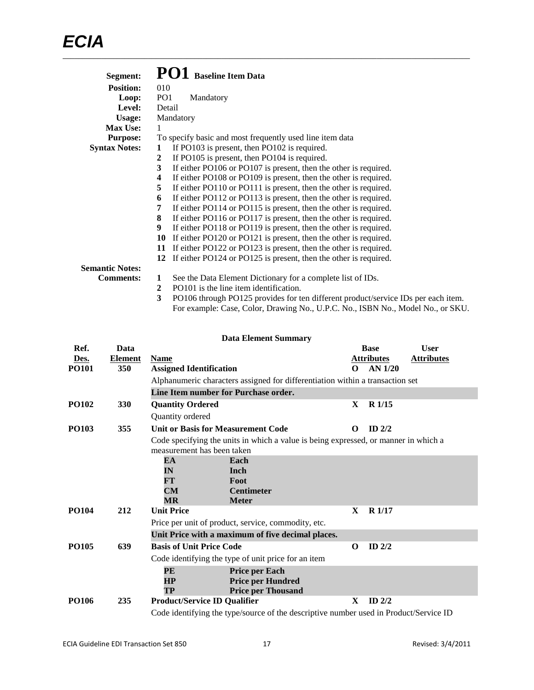| Segment:               | PO1<br><b>Baseline Item Data</b>                                                       |
|------------------------|----------------------------------------------------------------------------------------|
| <b>Position:</b>       | 010                                                                                    |
| Loop:                  | PO <sub>1</sub><br>Mandatory                                                           |
| Level:                 | Detail                                                                                 |
| Usage:                 | Mandatory                                                                              |
| <b>Max Use:</b>        | 1                                                                                      |
| <b>Purpose:</b>        | To specify basic and most frequently used line item data                               |
| <b>Syntax Notes:</b>   | If PO103 is present, then PO102 is required.<br>1                                      |
|                        | If PO105 is present, then PO104 is required.<br>2                                      |
|                        | If either PO106 or PO107 is present, then the other is required.<br>3                  |
|                        | If either PO108 or PO109 is present, then the other is required.<br>4                  |
|                        | 5<br>If either PO110 or PO111 is present, then the other is required.                  |
|                        | If either PO112 or PO113 is present, then the other is required.<br>6                  |
|                        | If either PO114 or PO115 is present, then the other is required.<br>7                  |
|                        | If either PO116 or PO117 is present, then the other is required.<br>8                  |
|                        | If either PO118 or PO119 is present, then the other is required.<br>9                  |
|                        | If either PO120 or PO121 is present, then the other is required.<br>10                 |
|                        | If either PO122 or PO123 is present, then the other is required.<br>11                 |
|                        | If either PO124 or PO125 is present, then the other is required.<br>12                 |
| <b>Semantic Notes:</b> |                                                                                        |
| <b>Comments:</b>       | See the Data Element Dictionary for a complete list of IDs.<br>1                       |
|                        | PO101 is the line item identification.<br>2                                            |
|                        | 3<br>PO106 through PO125 provides for ten different product/service IDs per each item. |

For example: Case, Color, Drawing No., U.P.C. No., ISBN No., Model No., or SKU.

|                                                                                       | <b>Data Element Summary</b> |                                                     |                                                                                     |              |                   |                   |  |  |
|---------------------------------------------------------------------------------------|-----------------------------|-----------------------------------------------------|-------------------------------------------------------------------------------------|--------------|-------------------|-------------------|--|--|
| Ref.                                                                                  | Data                        |                                                     |                                                                                     |              | <b>Base</b>       | <b>User</b>       |  |  |
| Des.                                                                                  | <b>Element</b>              | <b>Name</b>                                         |                                                                                     |              | <b>Attributes</b> | <b>Attributes</b> |  |  |
| <b>PO101</b>                                                                          | 350                         | <b>Assigned Identification</b>                      |                                                                                     | $\Omega$     | AN 1/20           |                   |  |  |
|                                                                                       |                             |                                                     | Alphanumeric characters assigned for differentiation within a transaction set       |              |                   |                   |  |  |
|                                                                                       |                             | Line Item number for Purchase order.                |                                                                                     |              |                   |                   |  |  |
| <b>PO102</b>                                                                          | 330                         | <b>Quantity Ordered</b>                             |                                                                                     | $\mathbf{X}$ | R 1/15            |                   |  |  |
|                                                                                       |                             | Quantity ordered                                    |                                                                                     |              |                   |                   |  |  |
| <b>PO103</b>                                                                          | 355                         | <b>Unit or Basis for Measurement Code</b>           |                                                                                     | $\Omega$     | $ID$ 2/2          |                   |  |  |
|                                                                                       |                             |                                                     | Code specifying the units in which a value is being expressed, or manner in which a |              |                   |                   |  |  |
|                                                                                       |                             | measurement has been taken                          |                                                                                     |              |                   |                   |  |  |
|                                                                                       |                             | EA                                                  | Each                                                                                |              |                   |                   |  |  |
|                                                                                       |                             | IN                                                  | Inch                                                                                |              |                   |                   |  |  |
|                                                                                       |                             | FT                                                  | Foot                                                                                |              |                   |                   |  |  |
|                                                                                       |                             | CM                                                  | <b>Centimeter</b>                                                                   |              |                   |                   |  |  |
|                                                                                       |                             | $\overline{\text{MR}}$                              | <b>Meter</b>                                                                        |              |                   |                   |  |  |
| <b>PO104</b>                                                                          | 212                         | <b>Unit Price</b>                                   |                                                                                     | $\mathbf{x}$ | R <sub>1/17</sub> |                   |  |  |
|                                                                                       |                             | Price per unit of product, service, commodity, etc. |                                                                                     |              |                   |                   |  |  |
|                                                                                       |                             |                                                     | Unit Price with a maximum of five decimal places.                                   |              |                   |                   |  |  |
| <b>PO105</b>                                                                          | 639                         | <b>Basis of Unit Price Code</b>                     |                                                                                     | $\Omega$     | $ID$ $2/2$        |                   |  |  |
|                                                                                       |                             | Code identifying the type of unit price for an item |                                                                                     |              |                   |                   |  |  |
|                                                                                       |                             | PE                                                  | <b>Price per Each</b>                                                               |              |                   |                   |  |  |
|                                                                                       |                             | <b>HP</b>                                           | <b>Price per Hundred</b>                                                            |              |                   |                   |  |  |
|                                                                                       |                             | TP                                                  | <b>Price per Thousand</b>                                                           |              |                   |                   |  |  |
| <b>PO106</b>                                                                          | 235                         | <b>Product/Service ID Qualifier</b>                 |                                                                                     | X            | $ID$ 2/2          |                   |  |  |
| Code identifying the type/source of the descriptive number used in Product/Service ID |                             |                                                     |                                                                                     |              |                   |                   |  |  |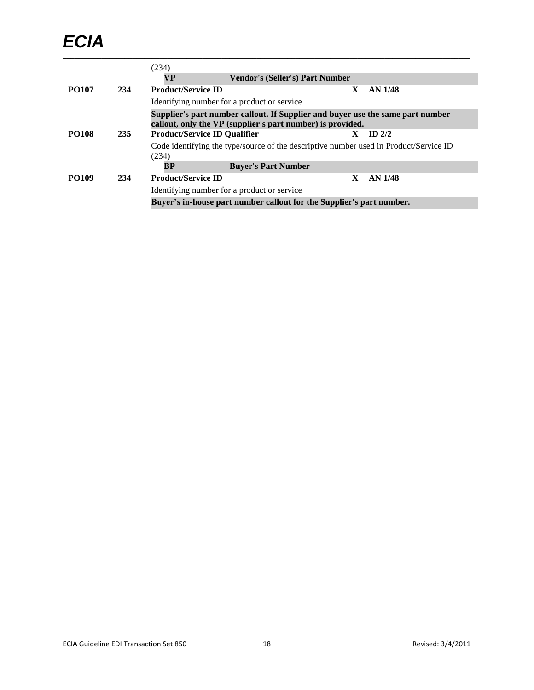# *ECIA* \_\_\_\_\_\_\_\_\_\_\_\_\_\_\_\_\_\_\_\_\_\_\_\_\_\_\_\_\_\_\_\_\_\_\_\_\_\_\_\_\_\_\_\_\_\_\_\_\_\_\_\_\_\_\_\_\_\_\_\_\_\_\_\_\_\_\_\_\_\_\_\_\_\_\_\_\_\_\_\_\_\_\_\_\_\_\_\_\_\_\_\_\_\_\_\_\_\_\_\_\_\_\_\_\_

|              |     | (234)                                                                                                                                        |   |                    |
|--------------|-----|----------------------------------------------------------------------------------------------------------------------------------------------|---|--------------------|
|              |     | VP<br><b>Vendor's (Seller's) Part Number</b>                                                                                                 |   |                    |
| <b>PO107</b> | 234 | <b>Product/Service ID</b>                                                                                                                    | X | AN <sub>1/48</sub> |
|              |     | Identifying number for a product or service                                                                                                  |   |                    |
|              |     | Supplier's part number callout. If Supplier and buyer use the same part number<br>callout, only the VP (supplier's part number) is provided. |   |                    |
| <b>PO108</b> | 235 | <b>Product/Service ID Qualifier</b>                                                                                                          |   | $ID$ 2/2           |
|              |     | Code identifying the type/source of the descriptive number used in Product/Service ID<br>(234)                                               |   |                    |
|              |     | BP<br><b>Buyer's Part Number</b>                                                                                                             |   |                    |
| <b>PO109</b> | 234 | <b>Product/Service ID</b>                                                                                                                    | X | AN <sub>1/48</sub> |
|              |     | Identifying number for a product or service                                                                                                  |   |                    |
|              |     | Buyer's in-house part number callout for the Supplier's part number.                                                                         |   |                    |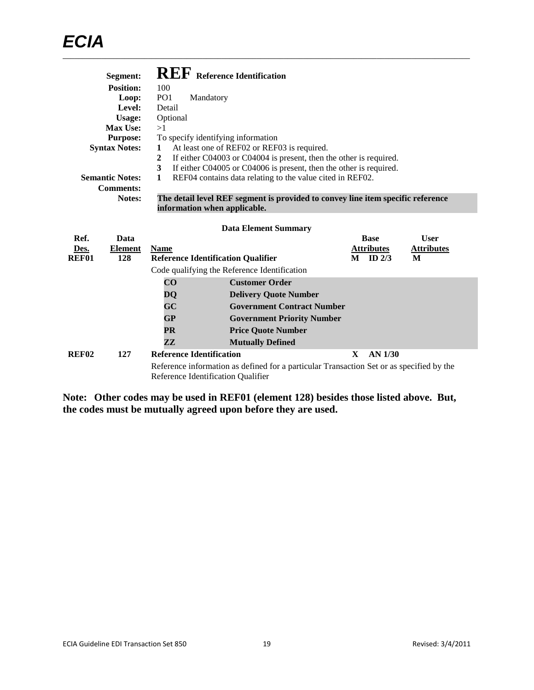|                       | Segment:<br><b>Position:</b><br>Loop:<br>Level:<br><b>Usage:</b><br>Max Use:<br><b>Purpose:</b><br><b>Syntax Notes:</b><br><b>Semantic Notes:</b><br><b>Comments:</b> | 100<br>PO <sub>1</sub><br>Detail<br>Optional<br>>1<br>1<br>$\overline{2}$<br>3<br>1         | Mandatory | <b>REF</b> Reference Identification<br>To specify identifying information<br>At least one of REF02 or REF03 is required.<br>If either C04003 or C04004 is present, then the other is required.<br>If either C04005 or C04006 is present, then the other is required.<br>REF04 contains data relating to the value cited in REF02. |   |                                                  |                                       |
|-----------------------|-----------------------------------------------------------------------------------------------------------------------------------------------------------------------|---------------------------------------------------------------------------------------------|-----------|-----------------------------------------------------------------------------------------------------------------------------------------------------------------------------------------------------------------------------------------------------------------------------------------------------------------------------------|---|--------------------------------------------------|---------------------------------------|
|                       | Notes:                                                                                                                                                                |                                                                                             |           | The detail level REF segment is provided to convey line item specific reference<br>information when applicable.                                                                                                                                                                                                                   |   |                                                  |                                       |
| Ref.<br>Des.<br>REF01 | Data<br><b>Element</b><br>128                                                                                                                                         | <b>Name</b>                                                                                 |           | <b>Data Element Summary</b><br><b>Reference Identification Qualifier</b><br>Code qualifying the Reference Identification                                                                                                                                                                                                          |   | <b>Base</b><br><b>Attributes</b><br>$M$ ID $2/3$ | <b>User</b><br><b>Attributes</b><br>M |
|                       |                                                                                                                                                                       | $\overline{\mathbf{C}}\mathbf{O}$<br>DQ<br>GC<br>GP<br><b>PR</b><br>$\mathbf{Z} \mathbf{Z}$ |           | <b>Customer Order</b><br><b>Delivery Quote Number</b><br><b>Government Contract Number</b><br><b>Government Priority Number</b><br><b>Price Quote Number</b><br><b>Mutually Defined</b>                                                                                                                                           |   |                                                  |                                       |
| REF02                 | 127                                                                                                                                                                   | <b>Reference Identification</b>                                                             |           | Reference information as defined for a particular Transaction Set or as specified by the<br>Reference Identification Qualifier                                                                                                                                                                                                    | X | <b>AN 1/30</b>                                   |                                       |

**Note: Other codes may be used in REF01 (element 128) besides those listed above. But, the codes must be mutually agreed upon before they are used.**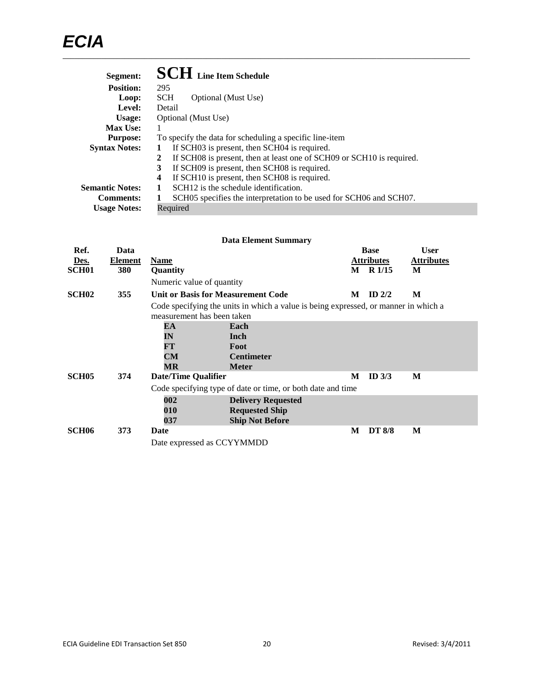| Segment:               | <b>SCH</b> Line Item Schedule                                              |
|------------------------|----------------------------------------------------------------------------|
| <b>Position:</b>       | 295                                                                        |
| Loop:                  | <b>SCH</b><br>Optional (Must Use)                                          |
| Level:                 | Detail                                                                     |
| Usage:                 | Optional (Must Use)                                                        |
| <b>Max Use:</b>        | 1                                                                          |
| <b>Purpose:</b>        | To specify the data for scheduling a specific line-item                    |
| <b>Syntax Notes:</b>   | If SCH03 is present, then SCH04 is required.<br>1                          |
|                        | If SCH08 is present, then at least one of SCH09 or SCH10 is required.<br>2 |
|                        | If SCH09 is present, then SCH08 is required.<br>3                          |
|                        | If SCH10 is present, then SCH08 is required.<br>4                          |
| <b>Semantic Notes:</b> | SCH <sub>12</sub> is the schedule identification.                          |
| <b>Comments:</b>       | SCH05 specifies the interpretation to be used for SCH06 and SCH07.<br>1    |
| <b>Usage Notes:</b>    | Required                                                                   |

| <b>Data Element Summary</b> |               |                           |                                                                                                                                                           |                                                             |                                                                                                                                         |  |  |  |
|-----------------------------|---------------|---------------------------|-----------------------------------------------------------------------------------------------------------------------------------------------------------|-------------------------------------------------------------|-----------------------------------------------------------------------------------------------------------------------------------------|--|--|--|
| Data                        |               |                           |                                                                                                                                                           |                                                             | <b>User</b>                                                                                                                             |  |  |  |
| Element                     | <b>Name</b>   |                           |                                                                                                                                                           |                                                             | <b>Attributes</b>                                                                                                                       |  |  |  |
| 380                         | Quantity      |                           |                                                                                                                                                           |                                                             | M                                                                                                                                       |  |  |  |
|                             |               |                           |                                                                                                                                                           |                                                             |                                                                                                                                         |  |  |  |
| 355                         |               |                           | M                                                                                                                                                         | ID $2/2$                                                    | M                                                                                                                                       |  |  |  |
|                             |               |                           |                                                                                                                                                           |                                                             |                                                                                                                                         |  |  |  |
|                             | EA            | Each                      |                                                                                                                                                           |                                                             |                                                                                                                                         |  |  |  |
|                             | $\mathbf{IN}$ | Inch                      |                                                                                                                                                           |                                                             |                                                                                                                                         |  |  |  |
|                             | FT            | Foot                      |                                                                                                                                                           |                                                             |                                                                                                                                         |  |  |  |
|                             | CM            | <b>Centimeter</b>         |                                                                                                                                                           |                                                             |                                                                                                                                         |  |  |  |
|                             | MR            | <b>Meter</b>              |                                                                                                                                                           |                                                             |                                                                                                                                         |  |  |  |
| 374                         |               |                           | M                                                                                                                                                         | ID $3/3$                                                    | M                                                                                                                                       |  |  |  |
|                             |               |                           |                                                                                                                                                           |                                                             |                                                                                                                                         |  |  |  |
|                             | 002           | <b>Delivery Requested</b> |                                                                                                                                                           |                                                             |                                                                                                                                         |  |  |  |
|                             | 010           | <b>Requested Ship</b>     |                                                                                                                                                           |                                                             |                                                                                                                                         |  |  |  |
|                             | 037           | <b>Ship Not Before</b>    |                                                                                                                                                           |                                                             |                                                                                                                                         |  |  |  |
| 373                         | Date          |                           | M                                                                                                                                                         | <b>DT 8/8</b>                                               | M                                                                                                                                       |  |  |  |
|                             |               |                           |                                                                                                                                                           |                                                             |                                                                                                                                         |  |  |  |
|                             |               |                           | Numeric value of quantity<br>Unit or Basis for Measurement Code<br>measurement has been taken<br><b>Date/Time Qualifier</b><br>Date expressed as CCYYMMDD | Code specifying type of date or time, or both date and time | <b>Base</b><br><b>Attributes</b><br>$M$ R $1/15$<br>Code specifying the units in which a value is being expressed, or manner in which a |  |  |  |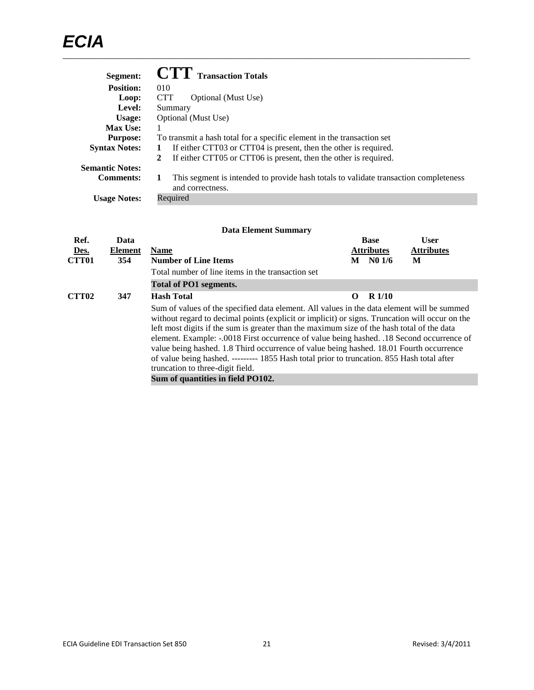| Segment:               | <b>CTT</b> Transaction Totals                                                                                 |  |  |  |  |
|------------------------|---------------------------------------------------------------------------------------------------------------|--|--|--|--|
| <b>Position:</b>       | 010                                                                                                           |  |  |  |  |
| Loop:                  | <b>CTT</b><br>Optional (Must Use)                                                                             |  |  |  |  |
| Level:                 | Summary                                                                                                       |  |  |  |  |
| Usage:                 | Optional (Must Use)                                                                                           |  |  |  |  |
| <b>Max Use:</b>        |                                                                                                               |  |  |  |  |
| <b>Purpose:</b>        | To transmit a hash total for a specific element in the transaction set                                        |  |  |  |  |
| <b>Syntax Notes:</b>   | If either CTT03 or CTT04 is present, then the other is required.<br>1                                         |  |  |  |  |
|                        | If either CTT05 or CTT06 is present, then the other is required.<br>2                                         |  |  |  |  |
| <b>Semantic Notes:</b> |                                                                                                               |  |  |  |  |
| <b>Comments:</b>       | This segment is intended to provide hash totals to validate transaction completeness<br>1<br>and correctness. |  |  |  |  |
| <b>Usage Notes:</b>    | Required                                                                                                      |  |  |  |  |

| Ref.              | Data           |                                                                                                                                                                                                                                                                                                                                                                                                                                                                                                                                                                                                                                                           |   | <b>Base</b>       | <b>User</b>       |
|-------------------|----------------|-----------------------------------------------------------------------------------------------------------------------------------------------------------------------------------------------------------------------------------------------------------------------------------------------------------------------------------------------------------------------------------------------------------------------------------------------------------------------------------------------------------------------------------------------------------------------------------------------------------------------------------------------------------|---|-------------------|-------------------|
| Des.              | <b>Element</b> | <b>Name</b>                                                                                                                                                                                                                                                                                                                                                                                                                                                                                                                                                                                                                                               |   | <b>Attributes</b> | <b>Attributes</b> |
| <b>CTT01</b>      | 354            | <b>Number of Line Items</b>                                                                                                                                                                                                                                                                                                                                                                                                                                                                                                                                                                                                                               | M | N01/6             | М                 |
|                   |                | Total number of line items in the transaction set                                                                                                                                                                                                                                                                                                                                                                                                                                                                                                                                                                                                         |   |                   |                   |
|                   |                | Total of PO1 segments.                                                                                                                                                                                                                                                                                                                                                                                                                                                                                                                                                                                                                                    |   |                   |                   |
| CTT <sub>02</sub> | 347            | <b>Hash Total</b>                                                                                                                                                                                                                                                                                                                                                                                                                                                                                                                                                                                                                                         | 0 | R <sub>1/10</sub> |                   |
|                   |                | Sum of values of the specified data element. All values in the data element will be summed<br>without regard to decimal points (explicit or implicit) or signs. Truncation will occur on the<br>left most digits if the sum is greater than the maximum size of the hash total of the data<br>element. Example: -.0018 First occurrence of value being hashed. .18 Second occurrence of<br>value being hashed. 1.8 Third occurrence of value being hashed. 18.01 Fourth occurrence<br>of value being hashed. --------- 1855 Hash total prior to truncation. 855 Hash total after<br>truncation to three-digit field.<br>Sum of quantities in field PO102. |   |                   |                   |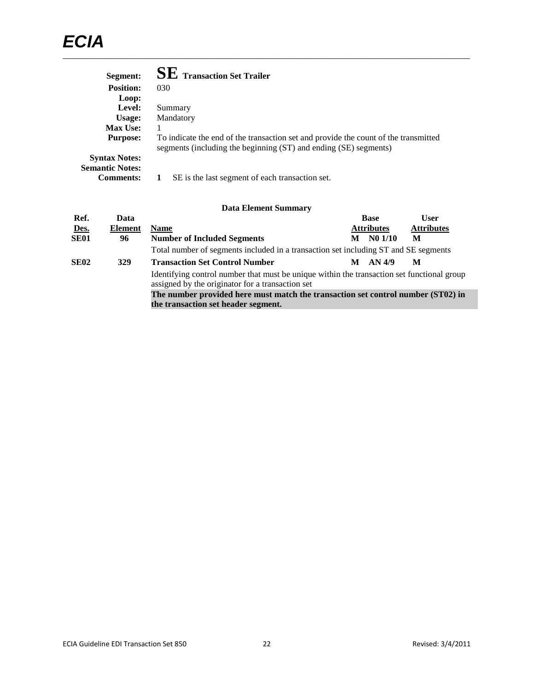| <b>SE</b> Transaction Set Trailer                                                                                                                       |
|---------------------------------------------------------------------------------------------------------------------------------------------------------|
| 030                                                                                                                                                     |
|                                                                                                                                                         |
| Summary                                                                                                                                                 |
| Mandatory                                                                                                                                               |
|                                                                                                                                                         |
| To indicate the end of the transaction set and provide the count of the transmitted<br>segments (including the beginning (ST) and ending (SE) segments) |
| SE is the last segment of each transaction set.                                                                                                         |
|                                                                                                                                                         |

| Ref.                                                                             | Data           |                                                                                                                                                |   | <b>Base</b>       | User              |
|----------------------------------------------------------------------------------|----------------|------------------------------------------------------------------------------------------------------------------------------------------------|---|-------------------|-------------------|
| Des.                                                                             | <b>Element</b> | <b>Name</b>                                                                                                                                    |   | <b>Attributes</b> | <b>Attributes</b> |
| SE <sub>01</sub>                                                                 | 96             | <b>Number of Included Segments</b>                                                                                                             | M | N01/10            | М                 |
|                                                                                  |                | Total number of segments included in a transaction set including ST and SE segments                                                            |   |                   |                   |
| <b>SE02</b>                                                                      | 329            | <b>Transaction Set Control Number</b>                                                                                                          | м | AN 4/9            | М                 |
|                                                                                  |                | Identifying control number that must be unique within the transaction set functional group<br>assigned by the originator for a transaction set |   |                   |                   |
| The number provided here must match the transaction set control number (ST02) in |                |                                                                                                                                                |   |                   |                   |
|                                                                                  |                | the transaction set header segment.                                                                                                            |   |                   |                   |